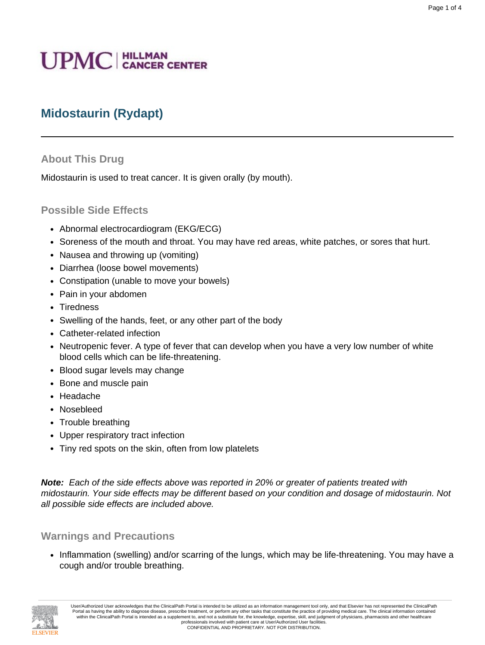# **UPMC** | HILLMAN

## **Midostaurin (Rydapt)**

#### **About This Drug**

Midostaurin is used to treat cancer. It is given orally (by mouth).

#### **Possible Side Effects**

- Abnormal electrocardiogram (EKG/ECG)
- Soreness of the mouth and throat. You may have red areas, white patches, or sores that hurt.
- Nausea and throwing up (vomiting)
- Diarrhea (loose bowel movements)
- Constipation (unable to move your bowels)
- Pain in your abdomen
- Tiredness
- Swelling of the hands, feet, or any other part of the body
- Catheter-related infection
- Neutropenic fever. A type of fever that can develop when you have a very low number of white blood cells which can be life-threatening.
- Blood sugar levels may change
- Bone and muscle pain
- Headache
- Nosebleed
- Trouble breathing
- Upper respiratory tract infection
- Tiny red spots on the skin, often from low platelets

**Note:** Each of the side effects above was reported in 20% or greater of patients treated with midostaurin. Your side effects may be different based on your condition and dosage of midostaurin. Not all possible side effects are included above.

#### **Warnings and Precautions**

• Inflammation (swelling) and/or scarring of the lungs, which may be life-threatening. You may have a cough and/or trouble breathing.

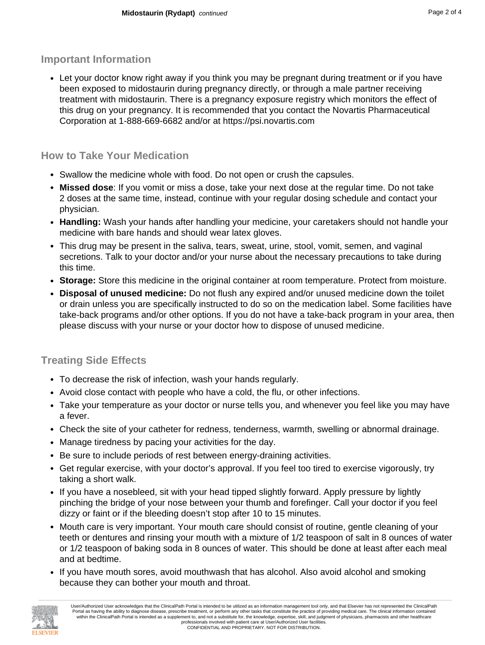#### **Important Information**

• Let your doctor know right away if you think you may be pregnant during treatment or if you have been exposed to midostaurin during pregnancy directly, or through a male partner receiving treatment with midostaurin. There is a pregnancy exposure registry which monitors the effect of this drug on your pregnancy. It is recommended that you contact the Novartis Pharmaceutical Corporation at 1-888-669-6682 and/or at https://psi.novartis.com

## **How to Take Your Medication**

- Swallow the medicine whole with food. Do not open or crush the capsules.
- **Missed dose**: If you vomit or miss a dose, take your next dose at the regular time. Do not take 2 doses at the same time, instead, continue with your regular dosing schedule and contact your physician.
- **Handling:** Wash your hands after handling your medicine, your caretakers should not handle your medicine with bare hands and should wear latex gloves.
- This drug may be present in the saliva, tears, sweat, urine, stool, vomit, semen, and vaginal secretions. Talk to your doctor and/or your nurse about the necessary precautions to take during this time.
- **Storage:** Store this medicine in the original container at room temperature. Protect from moisture.
- **Disposal of unused medicine:** Do not flush any expired and/or unused medicine down the toilet or drain unless you are specifically instructed to do so on the medication label. Some facilities have take-back programs and/or other options. If you do not have a take-back program in your area, then please discuss with your nurse or your doctor how to dispose of unused medicine.

## **Treating Side Effects**

- To decrease the risk of infection, wash your hands regularly.
- Avoid close contact with people who have a cold, the flu, or other infections.
- Take your temperature as your doctor or nurse tells you, and whenever you feel like you may have a fever.
- Check the site of your catheter for redness, tenderness, warmth, swelling or abnormal drainage.
- Manage tiredness by pacing your activities for the day.
- Be sure to include periods of rest between energy-draining activities.
- Get regular exercise, with your doctor's approval. If you feel too tired to exercise vigorously, try taking a short walk.
- If you have a nosebleed, sit with your head tipped slightly forward. Apply pressure by lightly pinching the bridge of your nose between your thumb and forefinger. Call your doctor if you feel dizzy or faint or if the bleeding doesn't stop after 10 to 15 minutes.
- Mouth care is very important. Your mouth care should consist of routine, gentle cleaning of your teeth or dentures and rinsing your mouth with a mixture of 1/2 teaspoon of salt in 8 ounces of water or 1/2 teaspoon of baking soda in 8 ounces of water. This should be done at least after each meal and at bedtime.
- If you have mouth sores, avoid mouthwash that has alcohol. Also avoid alcohol and smoking because they can bother your mouth and throat.

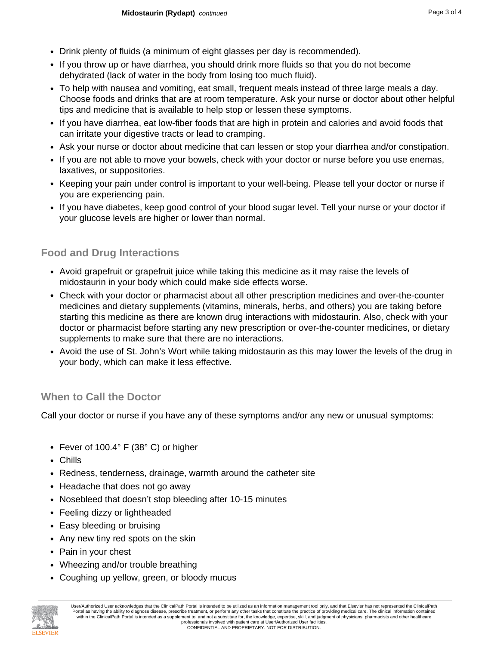- Drink plenty of fluids (a minimum of eight glasses per day is recommended).
- If you throw up or have diarrhea, you should drink more fluids so that you do not become dehydrated (lack of water in the body from losing too much fluid).
- To help with nausea and vomiting, eat small, frequent meals instead of three large meals a day. Choose foods and drinks that are at room temperature. Ask your nurse or doctor about other helpful tips and medicine that is available to help stop or lessen these symptoms.
- If you have diarrhea, eat low-fiber foods that are high in protein and calories and avoid foods that can irritate your digestive tracts or lead to cramping.
- Ask your nurse or doctor about medicine that can lessen or stop your diarrhea and/or constipation.
- If you are not able to move your bowels, check with your doctor or nurse before you use enemas, laxatives, or suppositories.
- Keeping your pain under control is important to your well-being. Please tell your doctor or nurse if you are experiencing pain.
- If you have diabetes, keep good control of your blood sugar level. Tell your nurse or your doctor if your glucose levels are higher or lower than normal.

### **Food and Drug Interactions**

- Avoid grapefruit or grapefruit juice while taking this medicine as it may raise the levels of midostaurin in your body which could make side effects worse.
- Check with your doctor or pharmacist about all other prescription medicines and over-the-counter medicines and dietary supplements (vitamins, minerals, herbs, and others) you are taking before starting this medicine as there are known drug interactions with midostaurin. Also, check with your doctor or pharmacist before starting any new prescription or over-the-counter medicines, or dietary supplements to make sure that there are no interactions.
- Avoid the use of St. John's Wort while taking midostaurin as this may lower the levels of the drug in your body, which can make it less effective.

### **When to Call the Doctor**

Call your doctor or nurse if you have any of these symptoms and/or any new or unusual symptoms:

- Fever of 100.4° F (38° C) or higher
- Chills
- Redness, tenderness, drainage, warmth around the catheter site
- Headache that does not go away
- Nosebleed that doesn't stop bleeding after 10-15 minutes
- Feeling dizzy or lightheaded
- Easy bleeding or bruising
- Any new tiny red spots on the skin
- Pain in your chest
- Wheezing and/or trouble breathing
- Coughing up yellow, green, or bloody mucus



User/Authorized User acknowledges that the ClinicalPath Portal is intended to be utilized as an information management tool only, and that Elsevier has not represented the ClinicalPath Portal as having the ability to diagnose disease, prescribe treatment, or perform any other tasks that constitute the practice of providing medical care. The clinical information contained within the ClinicalPath Portal is intended as a supplement to, and not a substitute for, the knowledge, expertise, skill, and judgment of physicians, pharmacists and other healthcare professionals involved with patient care at User/Authorized User facilities. CONFIDENTIAL AND PROPRIETARY. NOT FOR DISTRIBUTION.